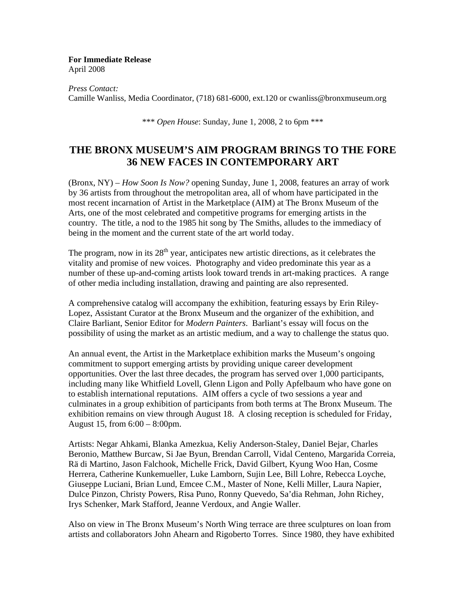**For Immediate Release** April 2008

*Press Contact:*  Camille Wanliss, Media Coordinator, (718) 681-6000, ext.120 or cwanliss@bronxmuseum.org

\*\*\* *Open House*: Sunday, June 1, 2008, 2 to 6pm \*\*\*

## **THE BRONX MUSEUM'S AIM PROGRAM BRINGS TO THE FORE 36 NEW FACES IN CONTEMPORARY ART**

(Bronx, NY) – *How Soon Is Now?* opening Sunday, June 1, 2008, features an array of work by 36 artists from throughout the metropolitan area, all of whom have participated in the most recent incarnation of Artist in the Marketplace (AIM) at The Bronx Museum of the Arts, one of the most celebrated and competitive programs for emerging artists in the country. The title, a nod to the 1985 hit song by The Smiths, alludes to the immediacy of being in the moment and the current state of the art world today.

The program, now in its  $28<sup>th</sup>$  year, anticipates new artistic directions, as it celebrates the vitality and promise of new voices. Photography and video predominate this year as a number of these up-and-coming artists look toward trends in art-making practices. A range of other media including installation, drawing and painting are also represented.

A comprehensive catalog will accompany the exhibition, featuring essays by Erin Riley-Lopez, Assistant Curator at the Bronx Museum and the organizer of the exhibition, and Claire Barliant, Senior Editor for *Modern Painters*. Barliant's essay will focus on the possibility of using the market as an artistic medium, and a way to challenge the status quo.

An annual event, the Artist in the Marketplace exhibition marks the Museum's ongoing commitment to support emerging artists by providing unique career development opportunities. Over the last three decades, the program has served over 1,000 participants, including many like Whitfield Lovell, Glenn Ligon and Polly Apfelbaum who have gone on to establish international reputations. AIM offers a cycle of two sessions a year and culminates in a group exhibition of participants from both terms at The Bronx Museum. The exhibition remains on view through August 18. A closing reception is scheduled for Friday, August 15, from 6:00 – 8:00pm.

Artists: Negar Ahkami, Blanka Amezkua, Keliy Anderson-Staley, Daniel Bejar, Charles Beronio, Matthew Burcaw, Si Jae Byun, Brendan Carroll, Vidal Centeno, Margarida Correia, Rä di Martino, Jason Falchook, Michelle Frick, David Gilbert, Kyung Woo Han, Cosme Herrera, Catherine Kunkemueller, Luke Lamborn, Sujin Lee, Bill Lohre, Rebecca Loyche, Giuseppe Luciani, Brian Lund, Emcee C.M., Master of None, Kelli Miller, Laura Napier, Dulce Pinzon, Christy Powers, Risa Puno, Ronny Quevedo, Sa'dia Rehman, John Richey, Irys Schenker, Mark Stafford, Jeanne Verdoux, and Angie Waller.

Also on view in The Bronx Museum's North Wing terrace are three sculptures on loan from artists and collaborators John Ahearn and Rigoberto Torres. Since 1980, they have exhibited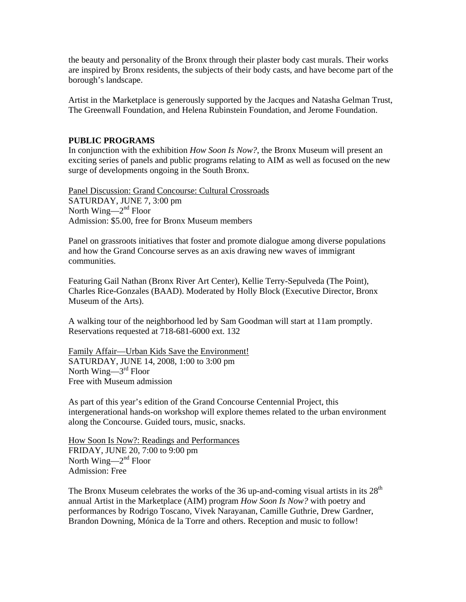the beauty and personality of the Bronx through their plaster body cast murals. Their works are inspired by Bronx residents, the subjects of their body casts, and have become part of the borough's landscape.

Artist in the Marketplace is generously supported by the Jacques and Natasha Gelman Trust, The Greenwall Foundation, and Helena Rubinstein Foundation, and Jerome Foundation.

## **PUBLIC PROGRAMS**

In conjunction with the exhibition *How Soon Is Now?*, the Bronx Museum will present an exciting series of panels and public programs relating to AIM as well as focused on the new surge of developments ongoing in the South Bronx.

Panel Discussion: Grand Concourse: Cultural Crossroads SATURDAY, JUNE 7, 3:00 pm North Wing— $2<sup>nd</sup>$  Floor Admission: \$5.00, free for Bronx Museum members

Panel on grassroots initiatives that foster and promote dialogue among diverse populations and how the Grand Concourse serves as an axis drawing new waves of immigrant communities.

Featuring Gail Nathan (Bronx River Art Center), Kellie Terry-Sepulveda (The Point), Charles Rice-Gonzales (BAAD). Moderated by Holly Block (Executive Director, Bronx Museum of the Arts).

A walking tour of the neighborhood led by Sam Goodman will start at 11am promptly. Reservations requested at 718-681-6000 ext. 132

Family Affair—Urban Kids Save the Environment! SATURDAY, JUNE 14, 2008, 1:00 to 3:00 pm North Wing— $3<sup>rd</sup>$  Floor Free with Museum admission

As part of this year's edition of the Grand Concourse Centennial Project, this intergenerational hands-on workshop will explore themes related to the urban environment along the Concourse. Guided tours, music, snacks.

How Soon Is Now?: Readings and Performances FRIDAY, JUNE 20, 7:00 to 9:00 pm North Wing— $2<sup>nd</sup>$  Floor Admission: Free

The Bronx Museum celebrates the works of the 36 up-and-coming visual artists in its  $28<sup>th</sup>$ annual Artist in the Marketplace (AIM) program *How Soon Is Now?* with poetry and performances by Rodrigo Toscano, Vivek Narayanan, Camille Guthrie, Drew Gardner, Brandon Downing, Mónica de la Torre and others. Reception and music to follow!